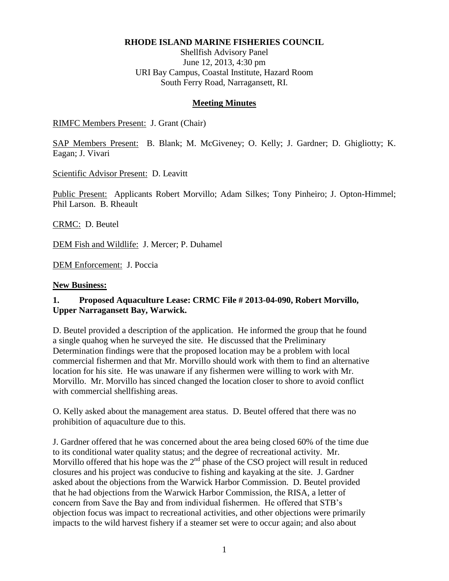#### **RHODE ISLAND MARINE FISHERIES COUNCIL**

Shellfish Advisory Panel June 12, 2013, 4:30 pm URI Bay Campus, Coastal Institute, Hazard Room South Ferry Road, Narragansett, RI.

#### **Meeting Minutes**

RIMFC Members Present: J. Grant (Chair)

SAP Members Present: B. Blank; M. McGiveney; O. Kelly; J. Gardner; D. Ghigliotty; K. Eagan; J. Vivari

Scientific Advisor Present: D. Leavitt

Public Present: Applicants Robert Morvillo; Adam Silkes; Tony Pinheiro; J. Opton-Himmel; Phil Larson. B. Rheault

CRMC: D. Beutel

DEM Fish and Wildlife: J. Mercer; P. Duhamel

DEM Enforcement: J. Poccia

#### **New Business:**

### **1. Proposed Aquaculture Lease: CRMC File # 2013-04-090, Robert Morvillo, Upper Narragansett Bay, Warwick.**

D. Beutel provided a description of the application. He informed the group that he found a single quahog when he surveyed the site. He discussed that the Preliminary Determination findings were that the proposed location may be a problem with local commercial fishermen and that Mr. Morvillo should work with them to find an alternative location for his site. He was unaware if any fishermen were willing to work with Mr. Morvillo. Mr. Morvillo has sinced changed the location closer to shore to avoid conflict with commercial shellfishing areas.

O. Kelly asked about the management area status. D. Beutel offered that there was no prohibition of aquaculture due to this.

J. Gardner offered that he was concerned about the area being closed 60% of the time due to its conditional water quality status; and the degree of recreational activity. Mr. Morvillo offered that his hope was the  $2<sup>nd</sup>$  phase of the CSO project will result in reduced closures and his project was conducive to fishing and kayaking at the site. J. Gardner asked about the objections from the Warwick Harbor Commission. D. Beutel provided that he had objections from the Warwick Harbor Commission, the RISA, a letter of concern from Save the Bay and from individual fishermen. He offered that STB's objection focus was impact to recreational activities, and other objections were primarily impacts to the wild harvest fishery if a steamer set were to occur again; and also about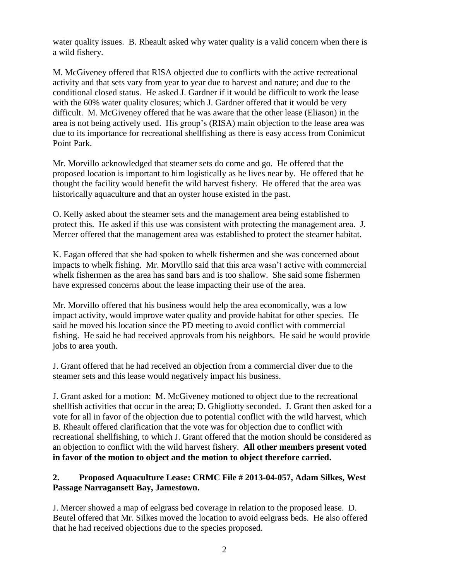water quality issues. B. Rheault asked why water quality is a valid concern when there is a wild fishery.

M. McGiveney offered that RISA objected due to conflicts with the active recreational activity and that sets vary from year to year due to harvest and nature; and due to the conditional closed status. He asked J. Gardner if it would be difficult to work the lease with the 60% water quality closures; which J. Gardner offered that it would be very difficult. M. McGiveney offered that he was aware that the other lease (Eliason) in the area is not being actively used. His group's (RISA) main objection to the lease area was due to its importance for recreational shellfishing as there is easy access from Conimicut Point Park.

Mr. Morvillo acknowledged that steamer sets do come and go. He offered that the proposed location is important to him logistically as he lives near by. He offered that he thought the facility would benefit the wild harvest fishery. He offered that the area was historically aquaculture and that an oyster house existed in the past.

O. Kelly asked about the steamer sets and the management area being established to protect this. He asked if this use was consistent with protecting the management area. J. Mercer offered that the management area was established to protect the steamer habitat.

K. Eagan offered that she had spoken to whelk fishermen and she was concerned about impacts to whelk fishing. Mr. Morvillo said that this area wasn't active with commercial whelk fishermen as the area has sand bars and is too shallow. She said some fishermen have expressed concerns about the lease impacting their use of the area.

Mr. Morvillo offered that his business would help the area economically, was a low impact activity, would improve water quality and provide habitat for other species. He said he moved his location since the PD meeting to avoid conflict with commercial fishing. He said he had received approvals from his neighbors. He said he would provide jobs to area youth.

J. Grant offered that he had received an objection from a commercial diver due to the steamer sets and this lease would negatively impact his business.

J. Grant asked for a motion: M. McGiveney motioned to object due to the recreational shellfish activities that occur in the area; D. Ghigliotty seconded. J. Grant then asked for a vote for all in favor of the objection due to potential conflict with the wild harvest, which B. Rheault offered clarification that the vote was for objection due to conflict with recreational shellfishing, to which J. Grant offered that the motion should be considered as an objection to conflict with the wild harvest fishery. **All other members present voted in favor of the motion to object and the motion to object therefore carried.**

## **2. Proposed Aquaculture Lease: CRMC File # 2013-04-057, Adam Silkes, West Passage Narragansett Bay, Jamestown.**

J. Mercer showed a map of eelgrass bed coverage in relation to the proposed lease. D. Beutel offered that Mr. Silkes moved the location to avoid eelgrass beds. He also offered that he had received objections due to the species proposed.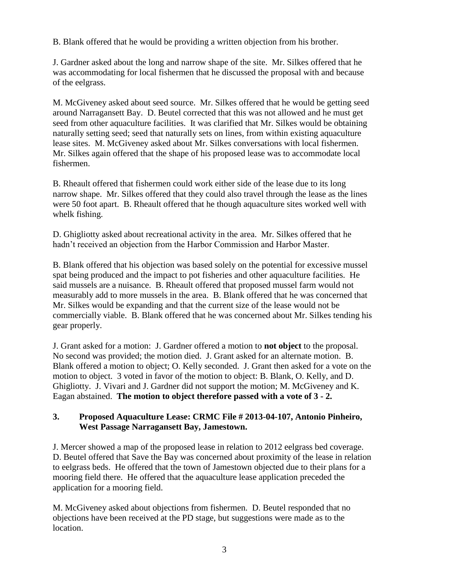B. Blank offered that he would be providing a written objection from his brother.

J. Gardner asked about the long and narrow shape of the site. Mr. Silkes offered that he was accommodating for local fishermen that he discussed the proposal with and because of the eelgrass.

M. McGiveney asked about seed source. Mr. Silkes offered that he would be getting seed around Narragansett Bay. D. Beutel corrected that this was not allowed and he must get seed from other aquaculture facilities. It was clarified that Mr. Silkes would be obtaining naturally setting seed; seed that naturally sets on lines, from within existing aquaculture lease sites. M. McGiveney asked about Mr. Silkes conversations with local fishermen. Mr. Silkes again offered that the shape of his proposed lease was to accommodate local fishermen.

B. Rheault offered that fishermen could work either side of the lease due to its long narrow shape. Mr. Silkes offered that they could also travel through the lease as the lines were 50 foot apart. B. Rheault offered that he though aquaculture sites worked well with whelk fishing.

D. Ghigliotty asked about recreational activity in the area. Mr. Silkes offered that he hadn't received an objection from the Harbor Commission and Harbor Master.

B. Blank offered that his objection was based solely on the potential for excessive mussel spat being produced and the impact to pot fisheries and other aquaculture facilities. He said mussels are a nuisance. B. Rheault offered that proposed mussel farm would not measurably add to more mussels in the area. B. Blank offered that he was concerned that Mr. Silkes would be expanding and that the current size of the lease would not be commercially viable. B. Blank offered that he was concerned about Mr. Silkes tending his gear properly.

J. Grant asked for a motion: J. Gardner offered a motion to **not object** to the proposal. No second was provided; the motion died. J. Grant asked for an alternate motion. B. Blank offered a motion to object; O. Kelly seconded. J. Grant then asked for a vote on the motion to object. 3 voted in favor of the motion to object: B. Blank, O. Kelly, and D. Ghigliotty. J. Vivari and J. Gardner did not support the motion; M. McGiveney and K. Eagan abstained. **The motion to object therefore passed with a vote of 3 - 2.**

## **3. Proposed Aquaculture Lease: CRMC File # 2013-04-107, Antonio Pinheiro, West Passage Narragansett Bay, Jamestown.**

J. Mercer showed a map of the proposed lease in relation to 2012 eelgrass bed coverage. D. Beutel offered that Save the Bay was concerned about proximity of the lease in relation to eelgrass beds. He offered that the town of Jamestown objected due to their plans for a mooring field there. He offered that the aquaculture lease application preceded the application for a mooring field.

M. McGiveney asked about objections from fishermen. D. Beutel responded that no objections have been received at the PD stage, but suggestions were made as to the location.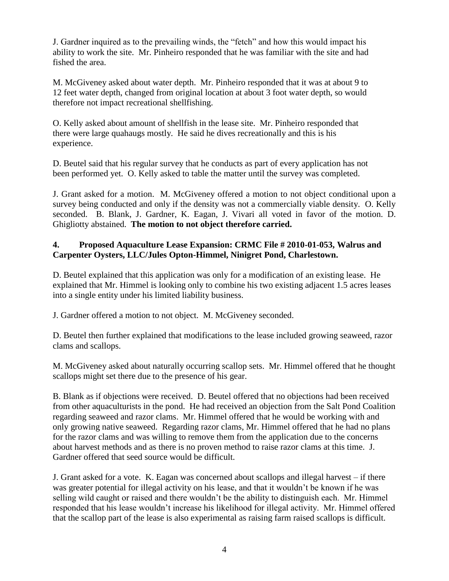J. Gardner inquired as to the prevailing winds, the "fetch" and how this would impact his ability to work the site. Mr. Pinheiro responded that he was familiar with the site and had fished the area.

M. McGiveney asked about water depth. Mr. Pinheiro responded that it was at about 9 to 12 feet water depth, changed from original location at about 3 foot water depth, so would therefore not impact recreational shellfishing.

O. Kelly asked about amount of shellfish in the lease site. Mr. Pinheiro responded that there were large quahaugs mostly. He said he dives recreationally and this is his experience.

D. Beutel said that his regular survey that he conducts as part of every application has not been performed yet. O. Kelly asked to table the matter until the survey was completed.

J. Grant asked for a motion. M. McGiveney offered a motion to not object conditional upon a survey being conducted and only if the density was not a commercially viable density. O. Kelly seconded. B. Blank, J. Gardner, K. Eagan, J. Vivari all voted in favor of the motion. D. Ghigliotty abstained. **The motion to not object therefore carried.**

## **4. Proposed Aquaculture Lease Expansion: CRMC File # 2010-01-053, Walrus and Carpenter Oysters, LLC/Jules Opton-Himmel, Ninigret Pond, Charlestown.**

D. Beutel explained that this application was only for a modification of an existing lease. He explained that Mr. Himmel is looking only to combine his two existing adjacent 1.5 acres leases into a single entity under his limited liability business.

J. Gardner offered a motion to not object. M. McGiveney seconded.

D. Beutel then further explained that modifications to the lease included growing seaweed, razor clams and scallops.

M. McGiveney asked about naturally occurring scallop sets. Mr. Himmel offered that he thought scallops might set there due to the presence of his gear.

B. Blank as if objections were received. D. Beutel offered that no objections had been received from other aquaculturists in the pond. He had received an objection from the Salt Pond Coalition regarding seaweed and razor clams. Mr. Himmel offered that he would be working with and only growing native seaweed. Regarding razor clams, Mr. Himmel offered that he had no plans for the razor clams and was willing to remove them from the application due to the concerns about harvest methods and as there is no proven method to raise razor clams at this time. J. Gardner offered that seed source would be difficult.

J. Grant asked for a vote. K. Eagan was concerned about scallops and illegal harvest – if there was greater potential for illegal activity on his lease, and that it wouldn't be known if he was selling wild caught or raised and there wouldn't be the ability to distinguish each. Mr. Himmel responded that his lease wouldn't increase his likelihood for illegal activity. Mr. Himmel offered that the scallop part of the lease is also experimental as raising farm raised scallops is difficult.